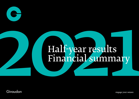

# Half-year results<br>Financial summary Financial summary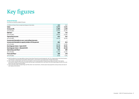

### **Financial Review**

For the six months ended 30 June

| in millions of Swiss francs except earnings per share data | 2021  | 2020  |
|------------------------------------------------------------|-------|-------|
| <b>Sales</b>                                               | 3,373 | 3,221 |
| <b>Gross profit</b>                                        | 1,480 | 1,359 |
| as % of sales                                              | 43.9% | 42.2% |
| <b>EBITDA</b> <sup>a</sup>                                 | 809   | 734   |
| as % of sales                                              | 24.0% | 22.8% |
| <b>Operating income</b>                                    | 613   | 532   |
| as % of sales                                              | 18.2% | 16.5% |
| Income attributable to non-controlling interests           |       |       |
| Income attributable to equity holders of the parent        | 481   | 413   |
| as % of sales                                              | 14.3% | 12.8% |
| Earnings per share - basic (CHF)                           | 52.19 | 44.81 |
| Earnings per share - diluted (CHF)                         | 51.78 | 44.48 |
| Operating cash flow b                                      | 415   | 389   |
| as % of sales                                              | 12.3% | 12.1% |
| Free cash flow "                                           | 186   | 178   |
| as % of sales                                              | 5.5%  | 5.5%  |

a) EBITDA defined as Earnings Before Interest (and other financial income (expense), net), Tax, Depreciation and Amortisation, corresponds to operating income before depreciation, amortisation and impairment of long-lived assets.

b) After careful consideration with the Group auditors, the Group has determined that purchase and sale of own equity instruments relates to financing activities and has been reclassified from cash flows from (for) operating activities into cash flows from (for) financing activities.

c) Free Cash Flow refers to operating cash flow after net investments, interest paid, lease payments and purchase and sale of own equity instruments.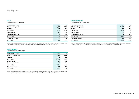## Key figures

### **Group**

For the six months ended 30 June

| 2021  | 2020  |
|-------|-------|
| 3,373 | 3,221 |
| 809   | 734   |
| 24.0% | 22.8% |
| (8)   | (28)  |
| 817   | 762   |
| 24.2% | 23.7% |
| 613   | 532   |
| 18.2% | 16.5% |
|       |       |

a) EBITDA defined as Earnings Before Interest (and other financial income (expense), net), Tax, Depreciation and Amortisation, corresponds to operating income before depreciation, amortisation and impairment of long-lived assets.

### **Fragrance & Beauty**

For the six months ended 30 June

| in millions of Swiss francs | 2021  | 2020  |
|-----------------------------|-------|-------|
| Sales to third parties      | 1,564 | 1,456 |
| <b>EBITDA</b> <sup>a</sup>  | 375   | 333   |
| as % of sales               | 24.0% | 22.9% |
| One off items               | (3)   | (8)   |
| <b>Comparable EBITDA</b>    | 378   | 341   |
| as % of sales               | 24.2% | 23.4% |
| <b>Operating income</b>     | 301   | 264   |
| as % of sales               | 19.2% | 18.2% |

a) EBITDA defined as Earnings Before Interest (and other financial income (expense), net), Tax, Depreciation and Amortisation, corresponds to operating income before depreciation, amortisation and impairment of long-lived assets.

### **Taste & Wellbeing**

For the six months ended 30 June

| in millions of Swiss francs | 2021  | 2020  |
|-----------------------------|-------|-------|
| Sales to third parties      | 1,809 | 1,765 |
| <b>EBITDA</b> <sup>a</sup>  | 434   | 401   |
| as % of sales               | 24.0% | 22.7% |
| One off items               | (5)   | (20)  |
| <b>Comparable EBITDA</b>    | 439   | 421   |
| as % of sales               | 24.3% | 23.8% |
| <b>Operating income</b>     | 312   | 268   |
| as % of sales               | 17.3% | 15.2% |

a) EBITDA defined as Earnings Before Interest (and other financial income (expense), net), Tax, Depreciation and Amortisation, corresponds to operating income before depreciation, amortisation and impairment of long-lived assets.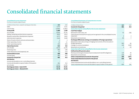### **Consolidated Income Statement**

For the six months ended 30 June

| in millions of Swiss francs, except for earnings per share data | 2021    | 2020    |
|-----------------------------------------------------------------|---------|---------|
| Sales                                                           | 3,373   | 3,221   |
| Cost of sales                                                   | (1,893) | (1,862) |
| <b>Gross profit</b>                                             | 1.480   | 1,359   |
| as % of sales                                                   | 43.9%   | 42.2%   |
| Selling, marketing and distribution expenses                    | (453)   | (412)   |
| Research and product development expenses                       | (277)   | (261)   |
| Administration expenses                                         | (116)   | (104)   |
| Share of results of joint ventures and associates               | 2       | 3       |
| Other operating income                                          | 12      | 11      |
| Other operating expense                                         | (35)    | (64)    |
| <b>Operating income</b>                                         | 613     | 532     |
| as % of sales                                                   | 18.2%   | 16.5%   |
| Financing costs                                                 | (46)    | (39)    |
| Other financial income (expense), net                           | (1)     | (13)    |
| Income before taxes                                             | 566     | 480     |
| Income taxes                                                    | (85)    | (67)    |
| Income for the period                                           | 481     | 413     |
| <b>Attribution</b>                                              |         |         |
| Income attributable to non-controlling interests                |         |         |
| Income attributable to equity holders of the parent             | 481     | 413     |
| as % of sales                                                   | 14.3%   | 12.8%   |
| Earnings per share - basic (CHF)                                | 52.19   | 44.81   |
| Earnings per share - diluted (CHF)                              | 51.78   | 44.48   |

### **Consolidated Statement of Comprehensive Income**

For the six months ended 30 June

| in millions of Swiss francs                                                                      | 2021 | 2020  |
|--------------------------------------------------------------------------------------------------|------|-------|
| Income for the period                                                                            | 481  | 413   |
| Items that may be reclassified to the income statement                                           |      |       |
| <b>Cash flow hedges</b>                                                                          |      |       |
| Movement in fair value, net                                                                      | 55   | (58)  |
| Gains (losses) removed from equity and recognised in the consolidated income<br>statement        | 4    | 3     |
| Movement on income tax                                                                           | (5)  | 7     |
| Exchange differences arising on translation of foreign operations                                |      |       |
| Movement in fair value arising on hedging instruments of the net assets in<br>foreign operations | (42) | 46    |
| Change in currency translation                                                                   | 224  | (340) |
| Movement on income tax                                                                           | 2    | (2)   |
| Items that will not be reclassified to the income statement                                      |      |       |
| Defined benefit pension plans                                                                    |      |       |
| Remeasurement gains (losses) of post employment benefit obligations                              | 124  | 39    |
| Movement on income tax                                                                           | (18) | (2)   |
| Other comprehensive income for the period                                                        | 344  | (307) |
| Total comprehensive income for the period                                                        | 825  | 106   |
| <b>Attribution</b>                                                                               |      |       |
| Total comprehensive income attributable to non-controlling interests                             |      |       |
| Total comprehensive income attributable to equity holders of the parent                          | 825  | 106   |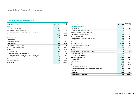### **Consolidated Statement of Financial Position**

| in millions of Swiss francs                               | 30 June 2021 | 31 December<br>2020 |
|-----------------------------------------------------------|--------------|---------------------|
| <b>Assets</b>                                             |              |                     |
| Cash and cash equivalents                                 | 306          | 411                 |
| Derivative financial instruments                          | 23           | 54                  |
| Financial assets at fair value through income statement   | 4            | 4                   |
| Accounts receivable - trade                               | 1,565        | 1,359               |
| Inventories                                               | 1,396        | 1,201               |
| Current tax assets                                        | 61           | 66                  |
| Prepayments                                               | 65           | 50                  |
| Other current assets                                      | 186          | 154                 |
| <b>Current assets</b>                                     | 3,606        | 3,299               |
| Derivative financial instruments                          | 63           | 65                  |
| Property, plant and equipment                             | 2,260        | 2,222               |
| Intangible assets                                         | 4,614        | 4,543               |
| Deferred tax assets                                       | 204          | 218                 |
| Post-employment benefit plan assets                       | 24           | 20                  |
| Financial assets at fair value through income statement   | 294          | 180                 |
| Interests in joint ventures and investments in associates | 39           | 35                  |
| Other non-current assets                                  | 238          | 76                  |
| <b>Non-current assets</b>                                 | 7,736        | 7,359               |
| <b>Total assets</b>                                       | 11,342       | 10,658              |

| in millions of Swiss francs                         | 30 June 2021 | 31 December<br>2020 |
|-----------------------------------------------------|--------------|---------------------|
| <b>Liabilities and equity</b>                       |              |                     |
| Short-term debt                                     | 727          | 206                 |
| Derivative financial instruments                    | 52           | 49                  |
| Accounts payable - trade and others                 | 870          | 809                 |
| Accrued payroll & payroll taxes                     | 179          | 211                 |
| Current tax liabilities                             | 158          | 157                 |
| Financial liability - own equity instruments        | 173          | 108                 |
| Provisions                                          | 24           | 23                  |
| Other current liabilities                           | 231          | 233                 |
| <b>Current liabilities</b>                          | 2,414        | 1,796               |
| Derivative financial instruments                    | 63           | 103                 |
| Long-term debt                                      | 4,306        | 4,245               |
| Provisions                                          | 73           | 71                  |
| Post-employment benefit plan liabilities            | 432          | 545                 |
| Deferred tax liabilities                            | 309          | 310                 |
| Other non-current liabilities                       | 79           | 80                  |
| <b>Non-current liabilities</b>                      | 5,262        | 5,354               |
| <b>Total liabilities</b>                            | 7,676        | 7,150               |
| Share capital                                       | 92           | 92                  |
| Retained earnings and reserves                      | 6,025        | 6,133               |
| Own equity instruments                              | (242)        | (168)               |
| Other components of equity                          | (2,223)      | (2,567)             |
| Equity attributable to equity holders of the parent | 3,652        | 3,490               |
| Non-controlling interests                           | 14           | 18                  |
| <b>Total equity</b>                                 | 3,666        | 3,508               |
| Total liabilities and equity                        | 11,342       | 10,658              |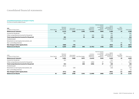### **Consolidated Statement of Changes in Equity**

For the six months ended 30 June

| Balance as at 30 June                     | 92            | 6,025                                | (242)      | (94)                         | (1,751)                                | (378)                                                            | 3,652                                                         | 14                               | 3,666        |
|-------------------------------------------|---------------|--------------------------------------|------------|------------------------------|----------------------------------------|------------------------------------------------------------------|---------------------------------------------------------------|----------------------------------|--------------|
| Net change in other equity items          |               | (589)                                | (74)       |                              |                                        |                                                                  | (663)                                                         | (4)                              | (667)        |
| Non-controlling interests                 |               |                                      |            |                              |                                        |                                                                  |                                                               | (4)                              | (4)          |
| Movement on own equity instruments, net   |               |                                      | (74)       |                              |                                        |                                                                  | (74)                                                          |                                  | (74)         |
| Dividends paid                            |               | (589)                                |            |                              |                                        |                                                                  | (589)                                                         |                                  | (589)        |
| Total comprehensive income for the period |               | 481                                  |            | 54                           | 184                                    | 106                                                              | 825                                                           | $\overline{\phantom{0}}$         | 825          |
| Other comprehensive income for the period |               |                                      |            | 54                           | 184                                    | 106                                                              | 344                                                           |                                  | 344          |
| Income for the period                     |               | 481                                  |            |                              |                                        |                                                                  | 481                                                           | $-$                              | 481          |
| Balance as at 1 January                   | 92            | 6,133                                | (168)      | (148)                        | (1,935)                                | (484)                                                            | 3,490                                                         | 18                               | 3,508        |
| 2021<br>in millions of Swiss francs       | Share Capital | Retained<br>earnings<br>and reserves | Own equity | instruments Cash flow hedges | Currency<br>translation<br>differences | Remeasurement<br>of post<br>employment<br>benefit<br>obligations | Equity<br>attributable to<br>equity holders of<br>the parents | Non-<br>controlling<br>interests | Total equity |

| 2020<br>in millions of Swiss francs       | Share Capital | Retained<br>earnings<br>and reserves | Own equity | instruments Cash flow hedges | Currency<br>translation<br>differences | Remeasurement<br>of post<br>employment<br>benefit<br>obligations | Equity<br>attributable to<br>equity holders of<br>the parents | Non-<br>controlling<br>interests | Total equity |
|-------------------------------------------|---------------|--------------------------------------|------------|------------------------------|----------------------------------------|------------------------------------------------------------------|---------------------------------------------------------------|----------------------------------|--------------|
| Balance as at 1 January                   | 92            | 5,961                                | (168)      | (107)                        | (1,613)                                | (525)                                                            | 3,640                                                         | 19                               | 3,659        |
| Income for the period                     |               | 413                                  |            |                              |                                        |                                                                  | 413                                                           | $\overline{\phantom{0}}$         | 413          |
| Other comprehensive income for the period |               |                                      |            | (48)                         | (296)                                  | 37                                                               | (307)                                                         |                                  | (307)        |
| Total comprehensive income for the period |               | 413                                  |            | (48)                         | (296)                                  | 37                                                               | 106                                                           | $\overline{\phantom{a}}$         | 106          |
| Dividends paid                            |               | (571)                                |            |                              |                                        |                                                                  | (571)                                                         |                                  | (571)        |
| Movement on own equity instruments, net   |               |                                      | (30)       |                              |                                        |                                                                  | (30)                                                          |                                  | (30)         |
| Non-controlling interests                 |               |                                      |            |                              |                                        |                                                                  |                                                               | (1)                              | (1)          |
| Net change in other equity items          |               | (571)                                | (30)       |                              |                                        |                                                                  | (601)                                                         | (1)                              | (602)        |
| Balance as at 30 June                     | 92            | 5,803                                | (198)      | (155)                        | (1,909)                                | (488)                                                            | 3,145                                                         | 18                               | 3,163        |